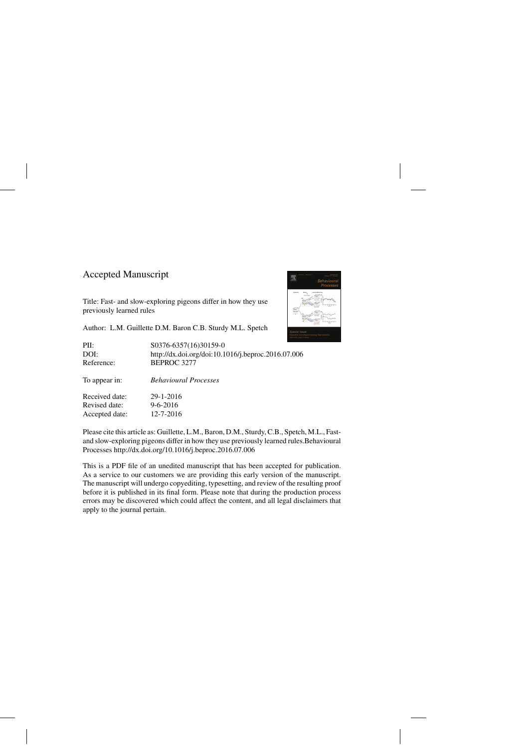## Accepted Manuscript

Title: Fast- and slow-exploring pigeons differ in how they use previously learned rules

Author: L.M. Guillette D.M. Baron C.B. Sturdy M.L. Spetch

| PII:           | S0376-6357(16)30159-0                              |
|----------------|----------------------------------------------------|
| DOI:           | http://dx.doi.org/doi:10.1016/j.beproc.2016.07.006 |
| Reference:     | BEPROC 3277                                        |
| To appear in:  | <b>Behavioural Processes</b>                       |
| Received date: | 29-1-2016                                          |
| Revised date:  | $9 - 6 - 2016$                                     |
| Accepted date: | $12 - 7 - 2016$                                    |

Please cite this article as: Guillette, L.M., Baron, D.M., Sturdy, C.B., Spetch, M.L., Fastand slow-exploring pigeons differ in how they use previously learned rules.Behavioural Processes<http://dx.doi.org/10.1016/j.beproc.2016.07.006>

This is a PDF file of an unedited manuscript that has been accepted for publication. As a service to our customers we are providing this early version of the manuscript. The manuscript will undergo copyediting, typesetting, and review of the resulting proof before it is published in its final form. Please note that during the production process errors may be discovered which could affect the content, and all legal disclaimers that apply to the journal pertain.

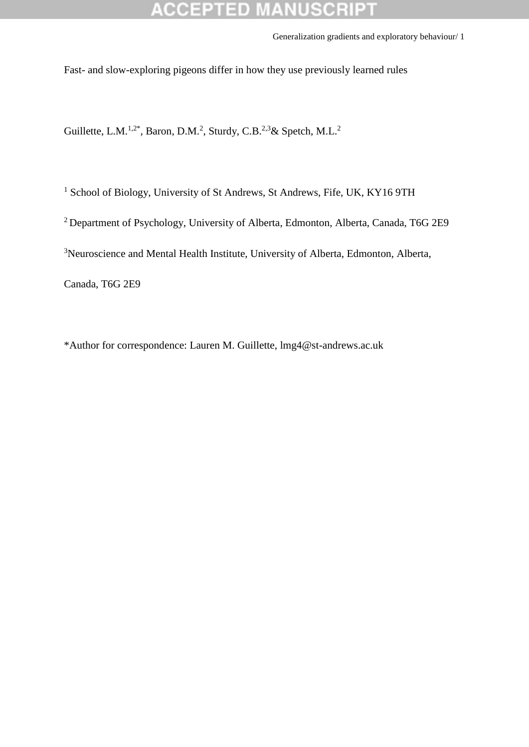## CCEPTED

Generalization gradients and exploratory behaviour/ 1

Fast- and slow-exploring pigeons differ in how they use previously learned rules

Guillette, L.M.<sup>1,2\*</sup>, Baron, D.M.<sup>2</sup>, Sturdy, C.B.<sup>2,3</sup>& Spetch, M.L.<sup>2</sup>

<sup>1</sup> School of Biology, University of St Andrews, St Andrews, Fife, UK, KY16 9TH

<sup>2</sup> Department of Psychology, University of Alberta, Edmonton, Alberta, Canada, T6G 2E9

<sup>3</sup>Neuroscience and Mental Health Institute, University of Alberta, Edmonton, Alberta,

Canada, T6G 2E9

\*Author for correspondence: Lauren M. Guillette, lmg4@st-andrews.ac.uk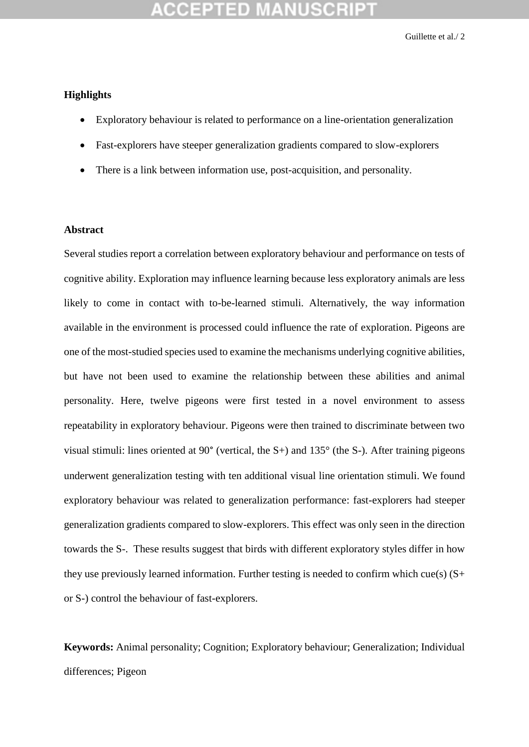### **Highlights**

- Exploratory behaviour is related to performance on a line-orientation generalization
- Fast-explorers have steeper generalization gradients compared to slow-explorers
- There is a link between information use, post-acquisition, and personality.

### **Abstract**

Several studies report a correlation between exploratory behaviour and performance on tests of cognitive ability. Exploration may influence learning because less exploratory animals are less likely to come in contact with to-be-learned stimuli. Alternatively, the way information available in the environment is processed could influence the rate of exploration. Pigeons are one of the most-studied species used to examine the mechanisms underlying cognitive abilities, but have not been used to examine the relationship between these abilities and animal personality. Here, twelve pigeons were first tested in a novel environment to assess repeatability in exploratory behaviour. Pigeons were then trained to discriminate between two visual stimuli: lines oriented at 90° (vertical, the S+) and 135° (the S-). After training pigeons underwent generalization testing with ten additional visual line orientation stimuli. We found exploratory behaviour was related to generalization performance: fast-explorers had steeper generalization gradients compared to slow-explorers. This effect was only seen in the direction towards the S-. These results suggest that birds with different exploratory styles differ in how they use previously learned information. Further testing is needed to confirm which cue(s)  $(S+$ or S-) control the behaviour of fast-explorers.

**Keywords:** Animal personality; Cognition; Exploratory behaviour; Generalization; Individual differences; Pigeon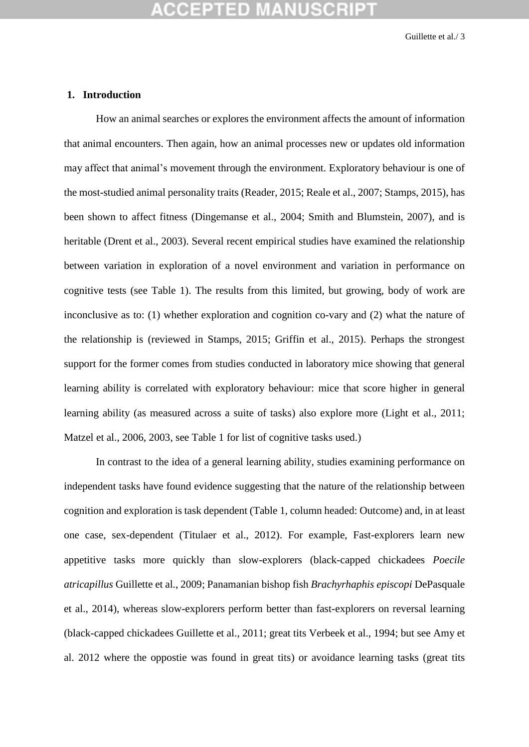### **1. Introduction**

How an animal searches or explores the environment affects the amount of information that animal encounters. Then again, how an animal processes new or updates old information may affect that animal's movement through the environment. Exploratory behaviour is one of the most-studied animal personality traits (Reader, 2015; Reale et al., 2007; Stamps, 2015), has been shown to affect fitness (Dingemanse et al., 2004; Smith and Blumstein, 2007), and is heritable (Drent et al., 2003). Several recent empirical studies have examined the relationship between variation in exploration of a novel environment and variation in performance on cognitive tests (see Table 1). The results from this limited, but growing, body of work are inconclusive as to: (1) whether exploration and cognition co-vary and (2) what the nature of the relationship is (reviewed in Stamps, 2015; Griffin et al., 2015). Perhaps the strongest support for the former comes from studies conducted in laboratory mice showing that general learning ability is correlated with exploratory behaviour: mice that score higher in general learning ability (as measured across a suite of tasks) also explore more (Light et al., 2011; Matzel et al., 2006, 2003, see Table 1 for list of cognitive tasks used.)

In contrast to the idea of a general learning ability, studies examining performance on independent tasks have found evidence suggesting that the nature of the relationship between cognition and exploration is task dependent (Table 1, column headed: Outcome) and, in at least one case, sex-dependent (Titulaer et al., 2012). For example, Fast-explorers learn new appetitive tasks more quickly than slow-explorers (black-capped chickadees *Poecile atricapillus* Guillette et al., 2009; Panamanian bishop fish *Brachyrhaphis episcopi* DePasquale et al., 2014), whereas slow-explorers perform better than fast-explorers on reversal learning (black-capped chickadees Guillette et al., 2011; great tits Verbeek et al., 1994; but see Amy et al. 2012 where the oppostie was found in great tits) or avoidance learning tasks (great tits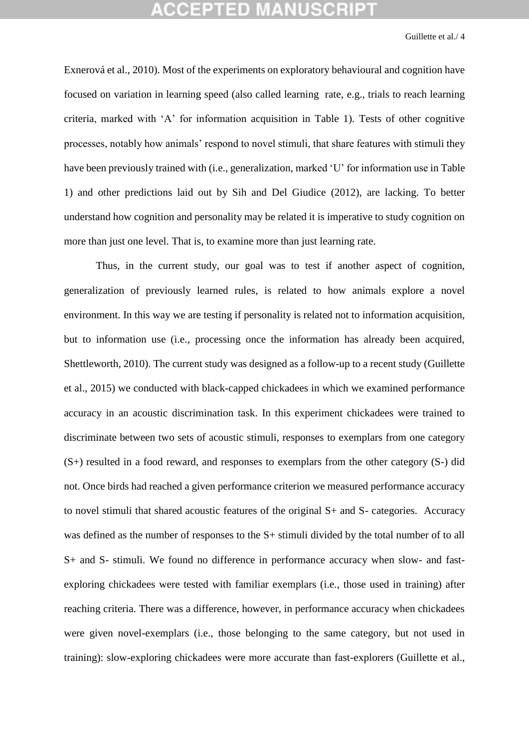Exnerová et al., 2010). Most of the experiments on exploratory behavioural and cognition have focused on variation in learning speed (also called learning rate, e.g., trials to reach learning criteria, marked with 'A' for information acquisition in Table 1). Tests of other cognitive processes, notably how animals' respond to novel stimuli, that share features with stimuli they have been previously trained with (i.e., generalization, marked 'U' for information use in Table 1) and other predictions laid out by Sih and Del Giudice (2012), are lacking. To better understand how cognition and personality may be related it is imperative to study cognition on more than just one level. That is, to examine more than just learning rate.

Thus, in the current study, our goal was to test if another aspect of cognition, generalization of previously learned rules, is related to how animals explore a novel environment. In this way we are testing if personality is related not to information acquisition, but to information use (i.e., processing once the information has already been acquired, Shettleworth, 2010). The current study was designed as a follow-up to a recent study (Guillette et al., 2015) we conducted with black-capped chickadees in which we examined performance accuracy in an acoustic discrimination task. In this experiment chickadees were trained to discriminate between two sets of acoustic stimuli, responses to exemplars from one category (S+) resulted in a food reward, and responses to exemplars from the other category (S-) did not. Once birds had reached a given performance criterion we measured performance accuracy to novel stimuli that shared acoustic features of the original S+ and S- categories. Accuracy was defined as the number of responses to the S+ stimuli divided by the total number of to all S+ and S- stimuli. We found no difference in performance accuracy when slow- and fastexploring chickadees were tested with familiar exemplars (i.e., those used in training) after reaching criteria. There was a difference, however, in performance accuracy when chickadees were given novel-exemplars (i.e., those belonging to the same category, but not used in training): slow-exploring chickadees were more accurate than fast-explorers (Guillette et al.,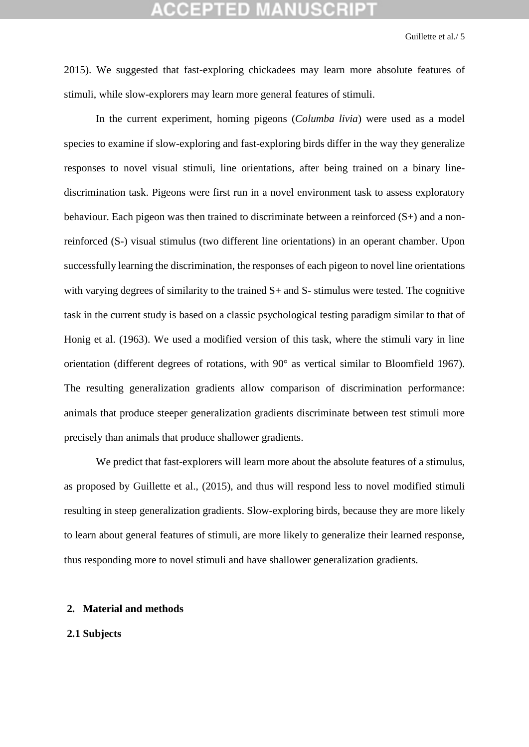2015). We suggested that fast-exploring chickadees may learn more absolute features of stimuli, while slow-explorers may learn more general features of stimuli.

In the current experiment, homing pigeons (*Columba livia*) were used as a model species to examine if slow-exploring and fast-exploring birds differ in the way they generalize responses to novel visual stimuli, line orientations, after being trained on a binary linediscrimination task. Pigeons were first run in a novel environment task to assess exploratory behaviour. Each pigeon was then trained to discriminate between a reinforced (S+) and a nonreinforced (S-) visual stimulus (two different line orientations) in an operant chamber. Upon successfully learning the discrimination, the responses of each pigeon to novel line orientations with varying degrees of similarity to the trained S+ and S- stimulus were tested. The cognitive task in the current study is based on a classic psychological testing paradigm similar to that of Honig et al. (1963). We used a modified version of this task, where the stimuli vary in line orientation (different degrees of rotations, with 90° as vertical similar to Bloomfield 1967). The resulting generalization gradients allow comparison of discrimination performance: animals that produce steeper generalization gradients discriminate between test stimuli more precisely than animals that produce shallower gradients.

We predict that fast-explorers will learn more about the absolute features of a stimulus, as proposed by Guillette et al., (2015), and thus will respond less to novel modified stimuli resulting in steep generalization gradients. Slow-exploring birds, because they are more likely to learn about general features of stimuli, are more likely to generalize their learned response, thus responding more to novel stimuli and have shallower generalization gradients.

### **2. Material and methods**

### **2.1 Subjects**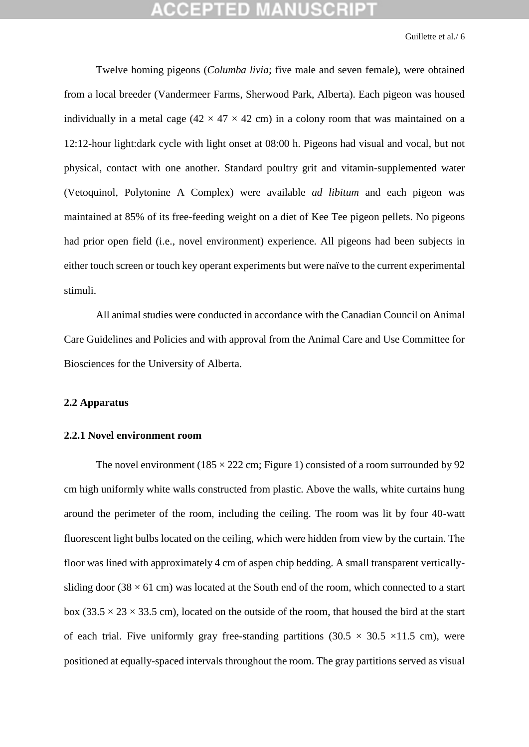Twelve homing pigeons (*Columba livia*; five male and seven female), were obtained from a local breeder (Vandermeer Farms, Sherwood Park, Alberta). Each pigeon was housed individually in a metal cage (42  $\times$  47  $\times$  42 cm) in a colony room that was maintained on a 12:12-hour light:dark cycle with light onset at 08:00 h. Pigeons had visual and vocal, but not physical, contact with one another. Standard poultry grit and vitamin-supplemented water (Vetoquinol, Polytonine A Complex) were available *ad libitum* and each pigeon was maintained at 85% of its free-feeding weight on a diet of Kee Tee pigeon pellets. No pigeons had prior open field (i.e., novel environment) experience. All pigeons had been subjects in either touch screen or touch key operant experiments but were naïve to the current experimental stimuli.

All animal studies were conducted in accordance with the Canadian Council on Animal Care Guidelines and Policies and with approval from the Animal Care and Use Committee for Biosciences for the University of Alberta.

### **2.2 Apparatus**

### **2.2.1 Novel environment room**

The novel environment ( $185 \times 222$  cm; Figure 1) consisted of a room surrounded by 92 cm high uniformly white walls constructed from plastic. Above the walls, white curtains hung around the perimeter of the room, including the ceiling. The room was lit by four 40-watt fluorescent light bulbs located on the ceiling, which were hidden from view by the curtain. The floor was lined with approximately 4 cm of aspen chip bedding. A small transparent verticallysliding door (38  $\times$  61 cm) was located at the South end of the room, which connected to a start box (33.5  $\times$  23  $\times$  33.5 cm), located on the outside of the room, that housed the bird at the start of each trial. Five uniformly gray free-standing partitions  $(30.5 \times 30.5 \times 11.5 \text{ cm})$ , were positioned at equally-spaced intervals throughout the room. The gray partitions served as visual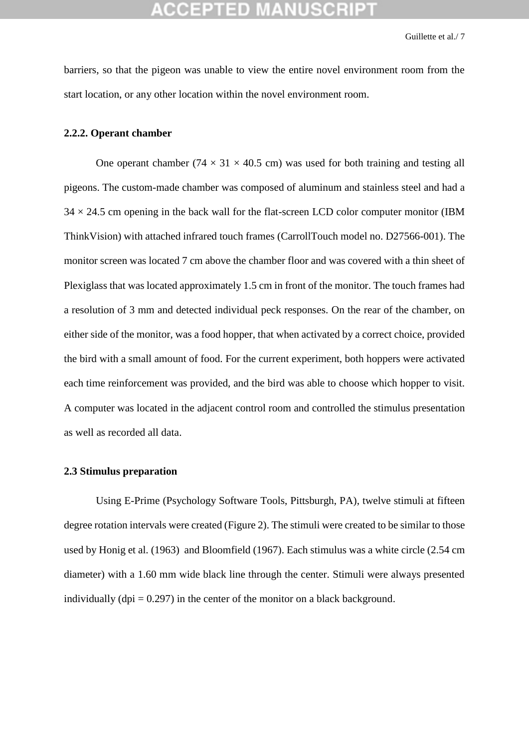barriers, so that the pigeon was unable to view the entire novel environment room from the start location, or any other location within the novel environment room.

### **2.2.2. Operant chamber**

One operant chamber ( $74 \times 31 \times 40.5$  cm) was used for both training and testing all pigeons. The custom-made chamber was composed of aluminum and stainless steel and had a  $34 \times 24.5$  cm opening in the back wall for the flat-screen LCD color computer monitor (IBM ThinkVision) with attached infrared touch frames (CarrollTouch model no. D27566-001). The monitor screen was located 7 cm above the chamber floor and was covered with a thin sheet of Plexiglass that was located approximately 1.5 cm in front of the monitor. The touch frames had a resolution of 3 mm and detected individual peck responses. On the rear of the chamber, on either side of the monitor, was a food hopper, that when activated by a correct choice, provided the bird with a small amount of food. For the current experiment, both hoppers were activated each time reinforcement was provided, and the bird was able to choose which hopper to visit. A computer was located in the adjacent control room and controlled the stimulus presentation as well as recorded all data.

### **2.3 Stimulus preparation**

Using E-Prime (Psychology Software Tools, Pittsburgh, PA), twelve stimuli at fifteen degree rotation intervals were created (Figure 2). The stimuli were created to be similar to those used by Honig et al. (1963) and Bloomfield (1967). Each stimulus was a white circle (2.54 cm diameter) with a 1.60 mm wide black line through the center. Stimuli were always presented individually (dpi  $= 0.297$ ) in the center of the monitor on a black background.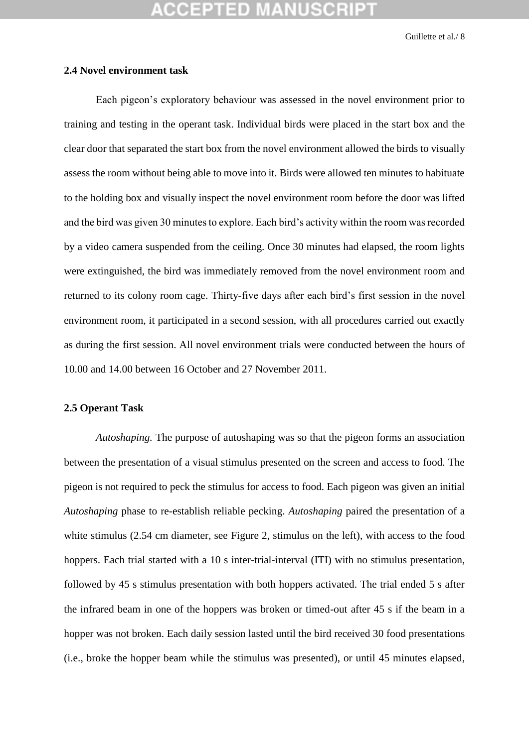### **2.4 Novel environment task**

Each pigeon's exploratory behaviour was assessed in the novel environment prior to training and testing in the operant task. Individual birds were placed in the start box and the clear door that separated the start box from the novel environment allowed the birds to visually assess the room without being able to move into it. Birds were allowed ten minutes to habituate to the holding box and visually inspect the novel environment room before the door was lifted and the bird was given 30 minutes to explore. Each bird's activity within the room was recorded by a video camera suspended from the ceiling. Once 30 minutes had elapsed, the room lights were extinguished, the bird was immediately removed from the novel environment room and returned to its colony room cage. Thirty-five days after each bird's first session in the novel environment room, it participated in a second session, with all procedures carried out exactly as during the first session. All novel environment trials were conducted between the hours of 10.00 and 14.00 between 16 October and 27 November 2011.

## **2.5 Operant Task**

*Autoshaping.* The purpose of autoshaping was so that the pigeon forms an association between the presentation of a visual stimulus presented on the screen and access to food. The pigeon is not required to peck the stimulus for access to food. Each pigeon was given an initial *Autoshaping* phase to re-establish reliable pecking. *Autoshaping* paired the presentation of a white stimulus (2.54 cm diameter, see Figure 2, stimulus on the left), with access to the food hoppers. Each trial started with a 10 s inter-trial-interval (ITI) with no stimulus presentation, followed by 45 s stimulus presentation with both hoppers activated. The trial ended 5 s after the infrared beam in one of the hoppers was broken or timed-out after 45 s if the beam in a hopper was not broken. Each daily session lasted until the bird received 30 food presentations (i.e., broke the hopper beam while the stimulus was presented), or until 45 minutes elapsed,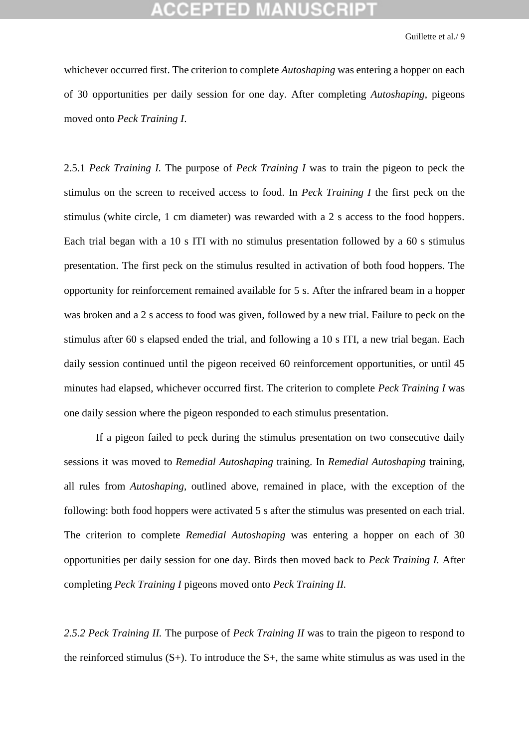whichever occurred first. The criterion to complete *Autoshaping* was entering a hopper on each of 30 opportunities per daily session for one day. After completing *Autoshaping*, pigeons moved onto *Peck Training I*.

2.5.1 *Peck Training I.* The purpose of *Peck Training I* was to train the pigeon to peck the stimulus on the screen to received access to food. In *Peck Training I* the first peck on the stimulus (white circle, 1 cm diameter) was rewarded with a 2 s access to the food hoppers. Each trial began with a 10 s ITI with no stimulus presentation followed by a 60 s stimulus presentation. The first peck on the stimulus resulted in activation of both food hoppers. The opportunity for reinforcement remained available for 5 s. After the infrared beam in a hopper was broken and a 2 s access to food was given, followed by a new trial. Failure to peck on the stimulus after 60 s elapsed ended the trial, and following a 10 s ITI, a new trial began. Each daily session continued until the pigeon received 60 reinforcement opportunities, or until 45 minutes had elapsed, whichever occurred first. The criterion to complete *Peck Training I* was one daily session where the pigeon responded to each stimulus presentation.

If a pigeon failed to peck during the stimulus presentation on two consecutive daily sessions it was moved to *Remedial Autoshaping* training. In *Remedial Autoshaping* training, all rules from *Autoshaping,* outlined above, remained in place, with the exception of the following: both food hoppers were activated 5 s after the stimulus was presented on each trial. The criterion to complete *Remedial Autoshaping* was entering a hopper on each of 30 opportunities per daily session for one day. Birds then moved back to *Peck Training I.* After completing *Peck Training I* pigeons moved onto *Peck Training II.*

*2.5.2 Peck Training II.* The purpose of *Peck Training II* was to train the pigeon to respond to the reinforced stimulus  $(S<sub>+</sub>)$ . To introduce the  $S<sub>+</sub>$ , the same white stimulus as was used in the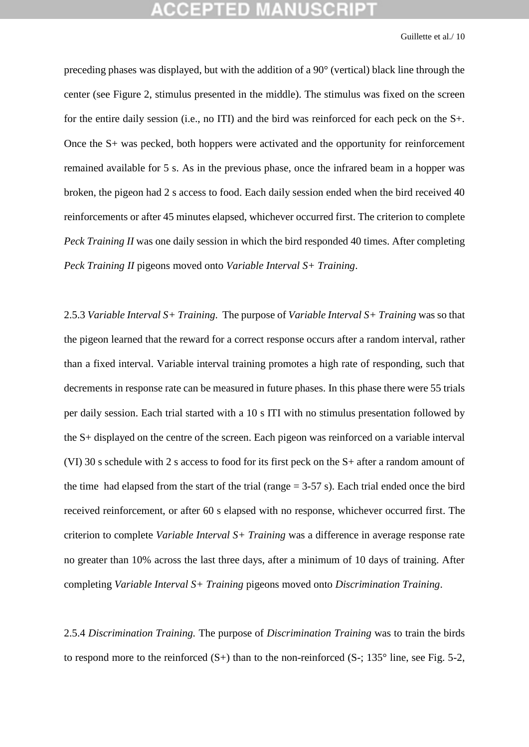preceding phases was displayed, but with the addition of a 90° (vertical) black line through the center (see Figure 2, stimulus presented in the middle). The stimulus was fixed on the screen for the entire daily session (i.e., no ITI) and the bird was reinforced for each peck on the S+. Once the S+ was pecked, both hoppers were activated and the opportunity for reinforcement remained available for 5 s. As in the previous phase, once the infrared beam in a hopper was broken, the pigeon had 2 s access to food. Each daily session ended when the bird received 40 reinforcements or after 45 minutes elapsed, whichever occurred first. The criterion to complete *Peck Training II* was one daily session in which the bird responded 40 times. After completing *Peck Training II* pigeons moved onto *Variable Interval S+ Training*.

2.5.3 *Variable Interval S+ Training*. The purpose of *Variable Interval S+ Training* was so that the pigeon learned that the reward for a correct response occurs after a random interval, rather than a fixed interval. Variable interval training promotes a high rate of responding, such that decrements in response rate can be measured in future phases. In this phase there were 55 trials per daily session. Each trial started with a 10 s ITI with no stimulus presentation followed by the S+ displayed on the centre of the screen. Each pigeon was reinforced on a variable interval (VI) 30 s schedule with 2 s access to food for its first peck on the S+ after a random amount of the time had elapsed from the start of the trial (range  $= 3-57$  s). Each trial ended once the bird received reinforcement, or after 60 s elapsed with no response, whichever occurred first. The criterion to complete *Variable Interval S+ Training* was a difference in average response rate no greater than 10% across the last three days, after a minimum of 10 days of training. After completing *Variable Interval S+ Training* pigeons moved onto *Discrimination Training*.

2.5.4 *Discrimination Training.* The purpose of *Discrimination Training* was to train the birds to respond more to the reinforced  $(S+)$  than to the non-reinforced  $(S-; 135^{\circ})$  line, see Fig. 5-2,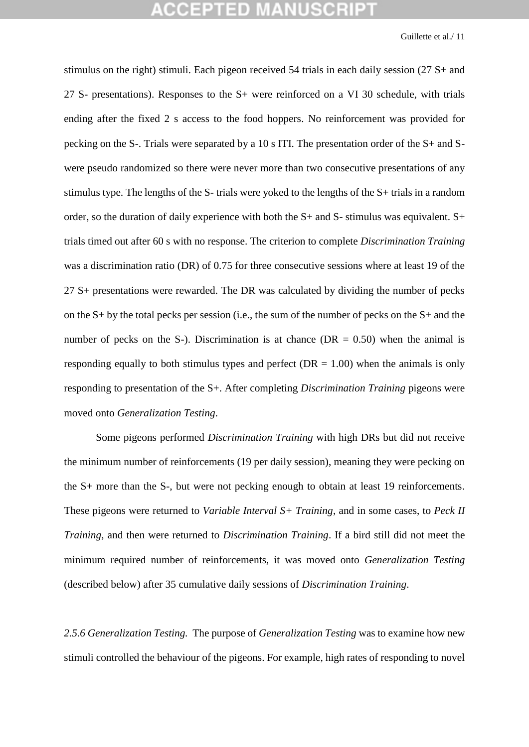stimulus on the right) stimuli. Each pigeon received 54 trials in each daily session (27 S+ and 27 S- presentations). Responses to the S+ were reinforced on a VI 30 schedule, with trials ending after the fixed 2 s access to the food hoppers. No reinforcement was provided for pecking on the S-. Trials were separated by a 10 s ITI. The presentation order of the S+ and Swere pseudo randomized so there were never more than two consecutive presentations of any stimulus type. The lengths of the S- trials were yoked to the lengths of the S+ trials in a random order, so the duration of daily experience with both the S+ and S- stimulus was equivalent. S+ trials timed out after 60 s with no response. The criterion to complete *Discrimination Training* was a discrimination ratio (DR) of 0.75 for three consecutive sessions where at least 19 of the 27 S+ presentations were rewarded. The DR was calculated by dividing the number of pecks on the S+ by the total pecks per session (i.e., the sum of the number of pecks on the S+ and the number of pecks on the S-). Discrimination is at chance ( $DR = 0.50$ ) when the animal is responding equally to both stimulus types and perfect ( $DR = 1.00$ ) when the animals is only responding to presentation of the S+. After completing *Discrimination Training* pigeons were moved onto *Generalization Testing*.

Some pigeons performed *Discrimination Training* with high DRs but did not receive the minimum number of reinforcements (19 per daily session), meaning they were pecking on the S+ more than the S-, but were not pecking enough to obtain at least 19 reinforcements. These pigeons were returned to *Variable Interval S+ Training*, and in some cases, to *Peck II Training*, and then were returned to *Discrimination Training*. If a bird still did not meet the minimum required number of reinforcements, it was moved onto *Generalization Testing* (described below) after 35 cumulative daily sessions of *Discrimination Training*.

*2.5.6 Generalization Testing.* The purpose of *Generalization Testing* was to examine how new stimuli controlled the behaviour of the pigeons. For example, high rates of responding to novel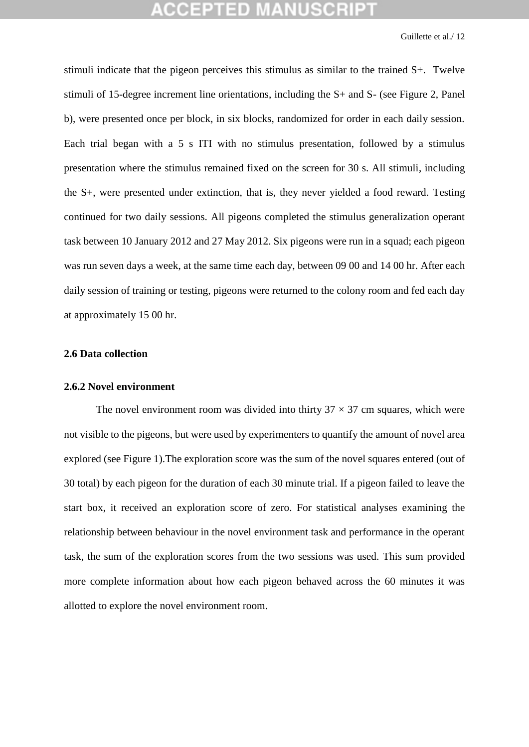stimuli indicate that the pigeon perceives this stimulus as similar to the trained S+. Twelve stimuli of 15-degree increment line orientations, including the S+ and S- (see Figure 2, Panel b), were presented once per block, in six blocks, randomized for order in each daily session. Each trial began with a 5 s ITI with no stimulus presentation, followed by a stimulus presentation where the stimulus remained fixed on the screen for 30 s. All stimuli, including the S+, were presented under extinction, that is, they never yielded a food reward. Testing continued for two daily sessions. All pigeons completed the stimulus generalization operant task between 10 January 2012 and 27 May 2012. Six pigeons were run in a squad; each pigeon was run seven days a week, at the same time each day, between 09 00 and 14 00 hr. After each daily session of training or testing, pigeons were returned to the colony room and fed each day at approximately 15 00 hr.

### **2.6 Data collection**

### **2.6.2 Novel environment**

The novel environment room was divided into thirty  $37 \times 37$  cm squares, which were not visible to the pigeons, but were used by experimenters to quantify the amount of novel area explored (see Figure 1).The exploration score was the sum of the novel squares entered (out of 30 total) by each pigeon for the duration of each 30 minute trial. If a pigeon failed to leave the start box, it received an exploration score of zero. For statistical analyses examining the relationship between behaviour in the novel environment task and performance in the operant task, the sum of the exploration scores from the two sessions was used. This sum provided more complete information about how each pigeon behaved across the 60 minutes it was allotted to explore the novel environment room.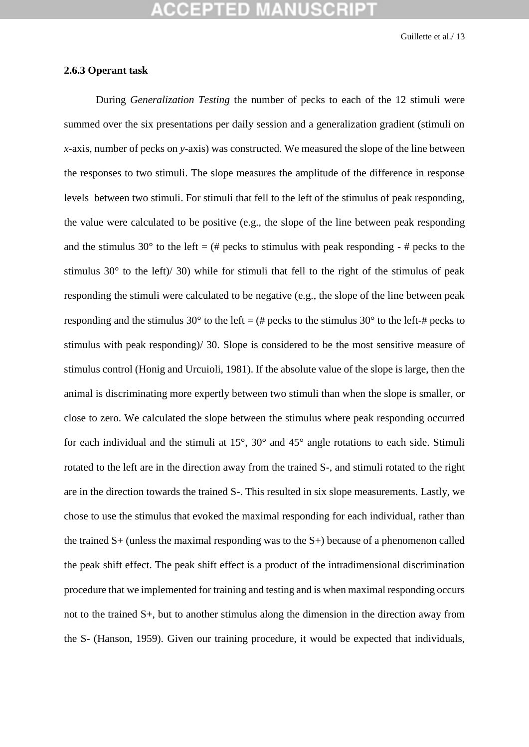### **2.6.3 Operant task**

During *Generalization Testing* the number of pecks to each of the 12 stimuli were summed over the six presentations per daily session and a generalization gradient (stimuli on *x-*axis, number of pecks on *y-*axis) was constructed. We measured the slope of the line between the responses to two stimuli. The slope measures the amplitude of the difference in response levels between two stimuli. For stimuli that fell to the left of the stimulus of peak responding, the value were calculated to be positive (e.g., the slope of the line between peak responding and the stimulus 30 $^{\circ}$  to the left = (# pecks to stimulus with peak responding - # pecks to the stimulus 30 $\degree$  to the left)/ 30) while for stimuli that fell to the right of the stimulus of peak responding the stimuli were calculated to be negative (e.g., the slope of the line between peak responding and the stimulus 30 $^{\circ}$  to the left = (# pecks to the stimulus 30 $^{\circ}$  to the left-# pecks to stimulus with peak responding)/ 30. Slope is considered to be the most sensitive measure of stimulus control (Honig and Urcuioli, 1981). If the absolute value of the slope is large, then the animal is discriminating more expertly between two stimuli than when the slope is smaller, or close to zero. We calculated the slope between the stimulus where peak responding occurred for each individual and the stimuli at 15°, 30° and 45° angle rotations to each side. Stimuli rotated to the left are in the direction away from the trained S-, and stimuli rotated to the right are in the direction towards the trained S-. This resulted in six slope measurements. Lastly, we chose to use the stimulus that evoked the maximal responding for each individual, rather than the trained S+ (unless the maximal responding was to the S+) because of a phenomenon called the peak shift effect. The peak shift effect is a product of the intradimensional discrimination procedure that we implemented for training and testing and is when maximal responding occurs not to the trained S+, but to another stimulus along the dimension in the direction away from the S- (Hanson, 1959). Given our training procedure, it would be expected that individuals,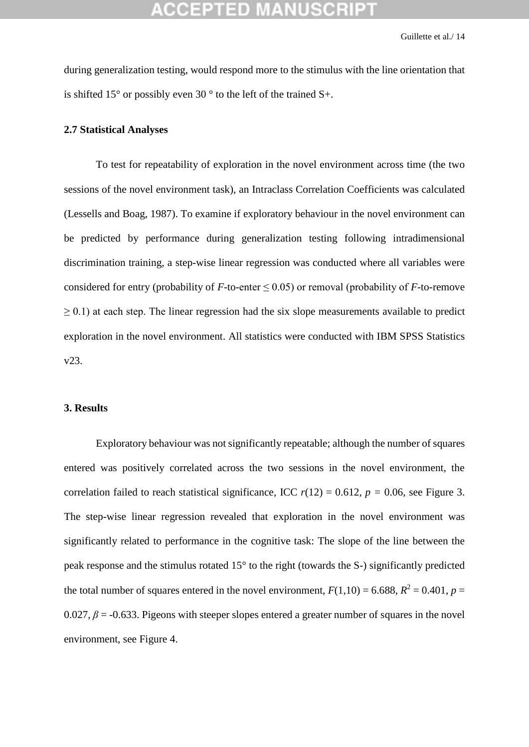during generalization testing, would respond more to the stimulus with the line orientation that is shifted 15 $^{\circ}$  or possibly even 30 $^{\circ}$  to the left of the trained S+.

### **2.7 Statistical Analyses**

To test for repeatability of exploration in the novel environment across time (the two sessions of the novel environment task), an Intraclass Correlation Coefficients was calculated (Lessells and Boag, 1987). To examine if exploratory behaviour in the novel environment can be predicted by performance during generalization testing following intradimensional discrimination training, a step-wise linear regression was conducted where all variables were considered for entry (probability of  $F$ -to-enter  $\leq$  0.05) or removal (probability of  $F$ -to-remove  $\geq$  0.1) at each step. The linear regression had the six slope measurements available to predict exploration in the novel environment. All statistics were conducted with IBM SPSS Statistics v23.

### **3. Results**

Exploratory behaviour was not significantly repeatable; although the number of squares entered was positively correlated across the two sessions in the novel environment, the correlation failed to reach statistical significance, ICC  $r(12) = 0.612$ ,  $p = 0.06$ , see Figure 3. The step-wise linear regression revealed that exploration in the novel environment was significantly related to performance in the cognitive task: The slope of the line between the peak response and the stimulus rotated 15° to the right (towards the S-) significantly predicted the total number of squares entered in the novel environment,  $F(1,10) = 6.688$ ,  $R^2 = 0.401$ ,  $p =$ 0.027,  $\beta$  = -0.633. Pigeons with steeper slopes entered a greater number of squares in the novel environment, see Figure 4.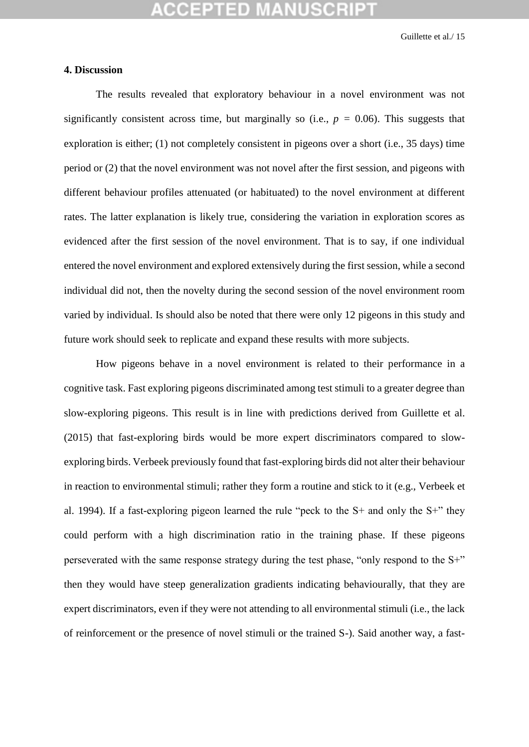### **4. Discussion**

The results revealed that exploratory behaviour in a novel environment was not significantly consistent across time, but marginally so (i.e.,  $p = 0.06$ ). This suggests that exploration is either; (1) not completely consistent in pigeons over a short (i.e., 35 days) time period or (2) that the novel environment was not novel after the first session, and pigeons with different behaviour profiles attenuated (or habituated) to the novel environment at different rates. The latter explanation is likely true, considering the variation in exploration scores as evidenced after the first session of the novel environment. That is to say, if one individual entered the novel environment and explored extensively during the first session, while a second individual did not, then the novelty during the second session of the novel environment room varied by individual. Is should also be noted that there were only 12 pigeons in this study and future work should seek to replicate and expand these results with more subjects.

How pigeons behave in a novel environment is related to their performance in a cognitive task. Fast exploring pigeons discriminated among test stimuli to a greater degree than slow-exploring pigeons. This result is in line with predictions derived from Guillette et al. (2015) that fast-exploring birds would be more expert discriminators compared to slowexploring birds. Verbeek previously found that fast-exploring birds did not alter their behaviour in reaction to environmental stimuli; rather they form a routine and stick to it (e.g., Verbeek et al. 1994). If a fast-exploring pigeon learned the rule "peck to the S+ and only the S+" they could perform with a high discrimination ratio in the training phase. If these pigeons perseverated with the same response strategy during the test phase, "only respond to the S+" then they would have steep generalization gradients indicating behaviourally, that they are expert discriminators, even if they were not attending to all environmental stimuli (i.e., the lack of reinforcement or the presence of novel stimuli or the trained S-). Said another way, a fast-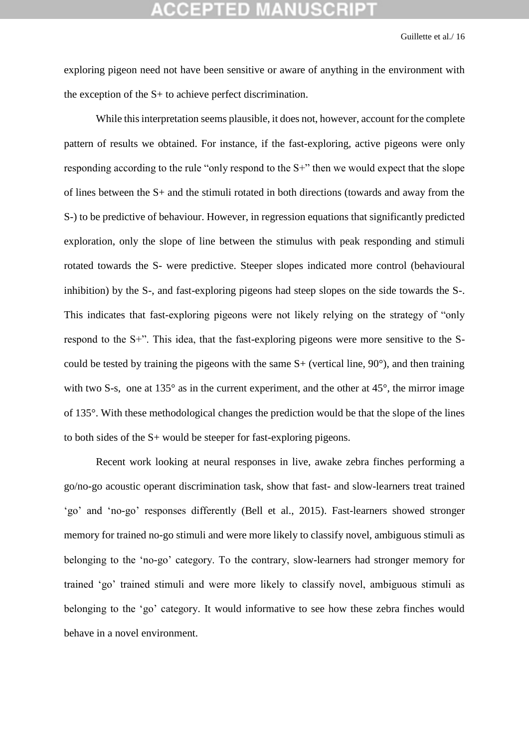exploring pigeon need not have been sensitive or aware of anything in the environment with the exception of the S+ to achieve perfect discrimination.

While this interpretation seems plausible, it does not, however, account for the complete pattern of results we obtained. For instance, if the fast-exploring, active pigeons were only responding according to the rule "only respond to the S+" then we would expect that the slope of lines between the S+ and the stimuli rotated in both directions (towards and away from the S-) to be predictive of behaviour. However, in regression equations that significantly predicted exploration, only the slope of line between the stimulus with peak responding and stimuli rotated towards the S- were predictive. Steeper slopes indicated more control (behavioural inhibition) by the S-, and fast-exploring pigeons had steep slopes on the side towards the S-. This indicates that fast-exploring pigeons were not likely relying on the strategy of "only respond to the S+". This idea, that the fast-exploring pigeons were more sensitive to the Scould be tested by training the pigeons with the same  $S+$  (vertical line,  $90^{\circ}$ ), and then training with two S-s, one at 135° as in the current experiment, and the other at 45°, the mirror image of 135°. With these methodological changes the prediction would be that the slope of the lines to both sides of the S+ would be steeper for fast-exploring pigeons.

Recent work looking at neural responses in live, awake zebra finches performing a go/no-go acoustic operant discrimination task, show that fast- and slow-learners treat trained 'go' and 'no-go' responses differently (Bell et al., 2015). Fast-learners showed stronger memory for trained no-go stimuli and were more likely to classify novel, ambiguous stimuli as belonging to the 'no-go' category. To the contrary, slow-learners had stronger memory for trained 'go' trained stimuli and were more likely to classify novel, ambiguous stimuli as belonging to the 'go' category. It would informative to see how these zebra finches would behave in a novel environment.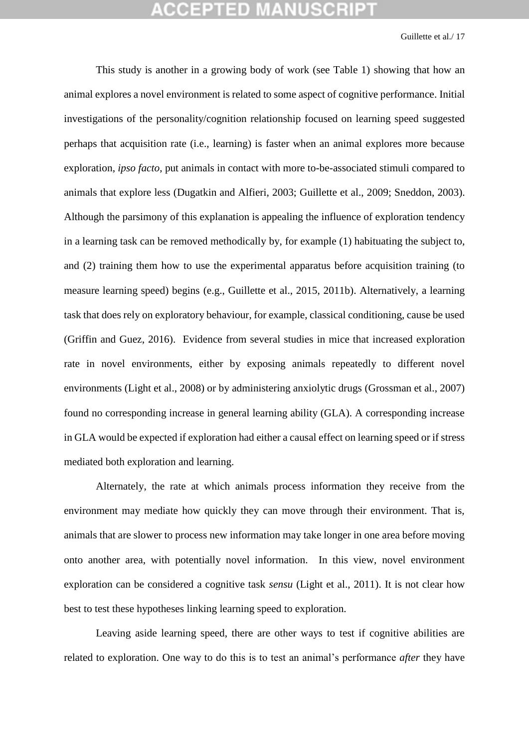This study is another in a growing body of work (see Table 1) showing that how an animal explores a novel environment is related to some aspect of cognitive performance. Initial investigations of the personality/cognition relationship focused on learning speed suggested perhaps that acquisition rate (i.e., learning) is faster when an animal explores more because exploration, *ipso facto*, put animals in contact with more to-be-associated stimuli compared to animals that explore less (Dugatkin and Alfieri, 2003; Guillette et al., 2009; Sneddon, 2003). Although the parsimony of this explanation is appealing the influence of exploration tendency in a learning task can be removed methodically by, for example (1) habituating the subject to, and (2) training them how to use the experimental apparatus before acquisition training (to measure learning speed) begins (e.g., Guillette et al., 2015, 2011b). Alternatively, a learning task that does rely on exploratory behaviour, for example, classical conditioning, cause be used (Griffin and Guez, 2016). Evidence from several studies in mice that increased exploration rate in novel environments, either by exposing animals repeatedly to different novel environments (Light et al., 2008) or by administering anxiolytic drugs (Grossman et al., 2007) found no corresponding increase in general learning ability (GLA). A corresponding increase in GLA would be expected if exploration had either a causal effect on learning speed or if stress mediated both exploration and learning.

Alternately, the rate at which animals process information they receive from the environment may mediate how quickly they can move through their environment. That is, animals that are slower to process new information may take longer in one area before moving onto another area, with potentially novel information. In this view, novel environment exploration can be considered a cognitive task *sensu* (Light et al., 2011). It is not clear how best to test these hypotheses linking learning speed to exploration.

Leaving aside learning speed, there are other ways to test if cognitive abilities are related to exploration. One way to do this is to test an animal's performance *after* they have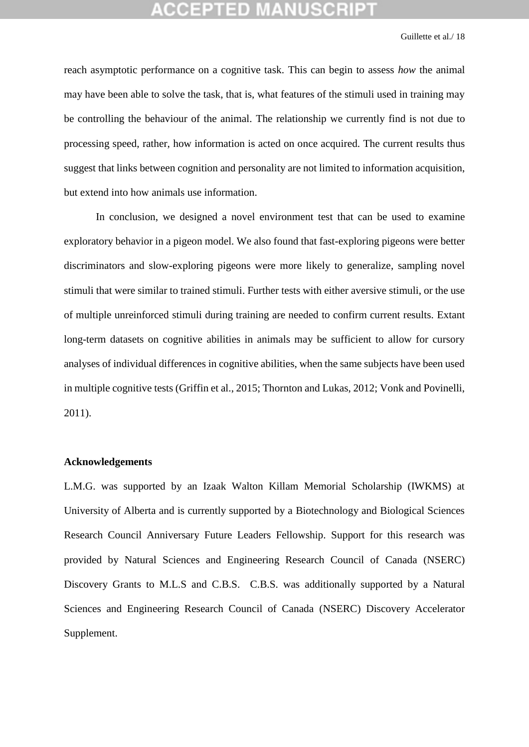reach asymptotic performance on a cognitive task. This can begin to assess *how* the animal may have been able to solve the task, that is, what features of the stimuli used in training may be controlling the behaviour of the animal. The relationship we currently find is not due to processing speed, rather, how information is acted on once acquired. The current results thus suggest that links between cognition and personality are not limited to information acquisition, but extend into how animals use information.

In conclusion, we designed a novel environment test that can be used to examine exploratory behavior in a pigeon model. We also found that fast-exploring pigeons were better discriminators and slow-exploring pigeons were more likely to generalize, sampling novel stimuli that were similar to trained stimuli. Further tests with either aversive stimuli, or the use of multiple unreinforced stimuli during training are needed to confirm current results. Extant long-term datasets on cognitive abilities in animals may be sufficient to allow for cursory analyses of individual differences in cognitive abilities, when the same subjects have been used in multiple cognitive tests (Griffin et al., 2015; Thornton and Lukas, 2012; Vonk and Povinelli, 2011).

### **Acknowledgements**

L.M.G. was supported by an Izaak Walton Killam Memorial Scholarship (IWKMS) at University of Alberta and is currently supported by a Biotechnology and Biological Sciences Research Council Anniversary Future Leaders Fellowship. Support for this research was provided by Natural Sciences and Engineering Research Council of Canada (NSERC) Discovery Grants to M.L.S and C.B.S. C.B.S. was additionally supported by a Natural Sciences and Engineering Research Council of Canada (NSERC) Discovery Accelerator Supplement.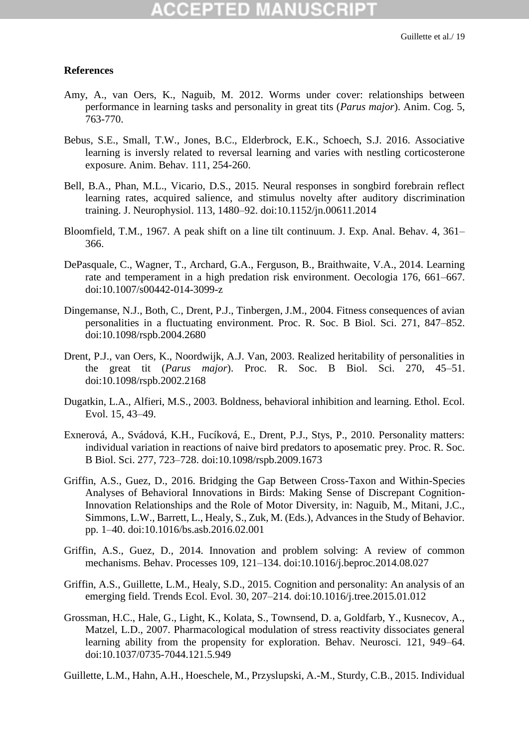### **References**

- Amy, A., van Oers, K., Naguib, M. 2012. Worms under cover: relationships between performance in learning tasks and personality in great tits (*Parus major*). Anim. Cog. 5, 763-770.
- Bebus, S.E., Small, T.W., Jones, B.C., Elderbrock, E.K., Schoech, S.J. 2016. Associative learning is inversly related to reversal learning and varies with nestling corticosterone exposure. Anim. Behav. 111, 254-260.
- Bell, B.A., Phan, M.L., Vicario, D.S., 2015. Neural responses in songbird forebrain reflect learning rates, acquired salience, and stimulus novelty after auditory discrimination training. J. Neurophysiol. 113, 1480–92. doi:10.1152/jn.00611.2014
- Bloomfield, T.M., 1967. A peak shift on a line tilt continuum. J. Exp. Anal. Behav. 4, 361– 366.
- DePasquale, C., Wagner, T., Archard, G.A., Ferguson, B., Braithwaite, V.A., 2014. Learning rate and temperament in a high predation risk environment. Oecologia 176, 661–667. doi:10.1007/s00442-014-3099-z
- Dingemanse, N.J., Both, C., Drent, P.J., Tinbergen, J.M., 2004. Fitness consequences of avian personalities in a fluctuating environment. Proc. R. Soc. B Biol. Sci. 271, 847–852. doi:10.1098/rspb.2004.2680
- Drent, P.J., van Oers, K., Noordwijk, A.J. Van, 2003. Realized heritability of personalities in the great tit (*Parus major*). Proc. R. Soc. B Biol. Sci. 270, 45–51. doi:10.1098/rspb.2002.2168
- Dugatkin, L.A., Alfieri, M.S., 2003. Boldness, behavioral inhibition and learning. Ethol. Ecol. Evol. 15, 43–49.
- Exnerová, A., Svádová, K.H., Fucíková, E., Drent, P.J., Stys, P., 2010. Personality matters: individual variation in reactions of naive bird predators to aposematic prey. Proc. R. Soc. B Biol. Sci. 277, 723–728. doi:10.1098/rspb.2009.1673
- Griffin, A.S., Guez, D., 2016. Bridging the Gap Between Cross-Taxon and Within-Species Analyses of Behavioral Innovations in Birds: Making Sense of Discrepant Cognition-Innovation Relationships and the Role of Motor Diversity, in: Naguib, M., Mitani, J.C., Simmons, L.W., Barrett, L., Healy, S., Zuk, M. (Eds.), Advances in the Study of Behavior. pp. 1–40. doi:10.1016/bs.asb.2016.02.001
- Griffin, A.S., Guez, D., 2014. Innovation and problem solving: A review of common mechanisms. Behav. Processes 109, 121–134. doi:10.1016/j.beproc.2014.08.027
- Griffin, A.S., Guillette, L.M., Healy, S.D., 2015. Cognition and personality: An analysis of an emerging field. Trends Ecol. Evol. 30, 207–214. doi:10.1016/j.tree.2015.01.012
- Grossman, H.C., Hale, G., Light, K., Kolata, S., Townsend, D. a, Goldfarb, Y., Kusnecov, A., Matzel, L.D., 2007. Pharmacological modulation of stress reactivity dissociates general learning ability from the propensity for exploration. Behav. Neurosci. 121, 949–64. doi:10.1037/0735-7044.121.5.949

Guillette, L.M., Hahn, A.H., Hoeschele, M., Przyslupski, A.-M., Sturdy, C.B., 2015. Individual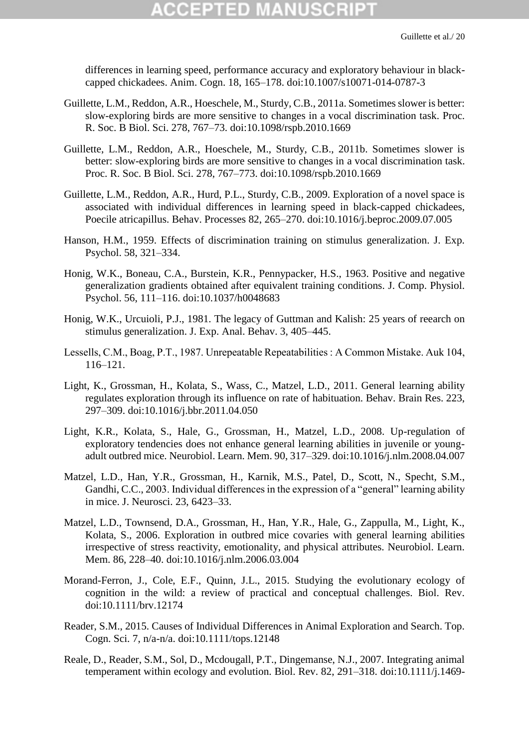## (CEPTED)

differences in learning speed, performance accuracy and exploratory behaviour in blackcapped chickadees. Anim. Cogn. 18, 165–178. doi:10.1007/s10071-014-0787-3

- Guillette, L.M., Reddon, A.R., Hoeschele, M., Sturdy, C.B., 2011a. Sometimes slower is better: slow-exploring birds are more sensitive to changes in a vocal discrimination task. Proc. R. Soc. B Biol. Sci. 278, 767–73. doi:10.1098/rspb.2010.1669
- Guillette, L.M., Reddon, A.R., Hoeschele, M., Sturdy, C.B., 2011b. Sometimes slower is better: slow-exploring birds are more sensitive to changes in a vocal discrimination task. Proc. R. Soc. B Biol. Sci. 278, 767–773. doi:10.1098/rspb.2010.1669
- Guillette, L.M., Reddon, A.R., Hurd, P.L., Sturdy, C.B., 2009. Exploration of a novel space is associated with individual differences in learning speed in black-capped chickadees, Poecile atricapillus. Behav. Processes 82, 265–270. doi:10.1016/j.beproc.2009.07.005
- Hanson, H.M., 1959. Effects of discrimination training on stimulus generalization. J. Exp. Psychol. 58, 321–334.
- Honig, W.K., Boneau, C.A., Burstein, K.R., Pennypacker, H.S., 1963. Positive and negative generalization gradients obtained after equivalent training conditions. J. Comp. Physiol. Psychol. 56, 111–116. doi:10.1037/h0048683
- Honig, W.K., Urcuioli, P.J., 1981. The legacy of Guttman and Kalish: 25 years of reearch on stimulus generalization. J. Exp. Anal. Behav. 3, 405–445.
- Lessells, C.M., Boag, P.T., 1987. Unrepeatable Repeatabilities : A Common Mistake. Auk 104, 116–121.
- Light, K., Grossman, H., Kolata, S., Wass, C., Matzel, L.D., 2011. General learning ability regulates exploration through its influence on rate of habituation. Behav. Brain Res. 223, 297–309. doi:10.1016/j.bbr.2011.04.050
- Light, K.R., Kolata, S., Hale, G., Grossman, H., Matzel, L.D., 2008. Up-regulation of exploratory tendencies does not enhance general learning abilities in juvenile or youngadult outbred mice. Neurobiol. Learn. Mem. 90, 317–329. doi:10.1016/j.nlm.2008.04.007
- Matzel, L.D., Han, Y.R., Grossman, H., Karnik, M.S., Patel, D., Scott, N., Specht, S.M., Gandhi, C.C., 2003. Individual differences in the expression of a "general" learning ability in mice. J. Neurosci. 23, 6423–33.
- Matzel, L.D., Townsend, D.A., Grossman, H., Han, Y.R., Hale, G., Zappulla, M., Light, K., Kolata, S., 2006. Exploration in outbred mice covaries with general learning abilities irrespective of stress reactivity, emotionality, and physical attributes. Neurobiol. Learn. Mem. 86, 228–40. doi:10.1016/j.nlm.2006.03.004
- Morand-Ferron, J., Cole, E.F., Quinn, J.L., 2015. Studying the evolutionary ecology of cognition in the wild: a review of practical and conceptual challenges. Biol. Rev. doi:10.1111/brv.12174
- Reader, S.M., 2015. Causes of Individual Differences in Animal Exploration and Search. Top. Cogn. Sci. 7, n/a-n/a. doi:10.1111/tops.12148
- Reale, D., Reader, S.M., Sol, D., Mcdougall, P.T., Dingemanse, N.J., 2007. Integrating animal temperament within ecology and evolution. Biol. Rev. 82, 291–318. doi:10.1111/j.1469-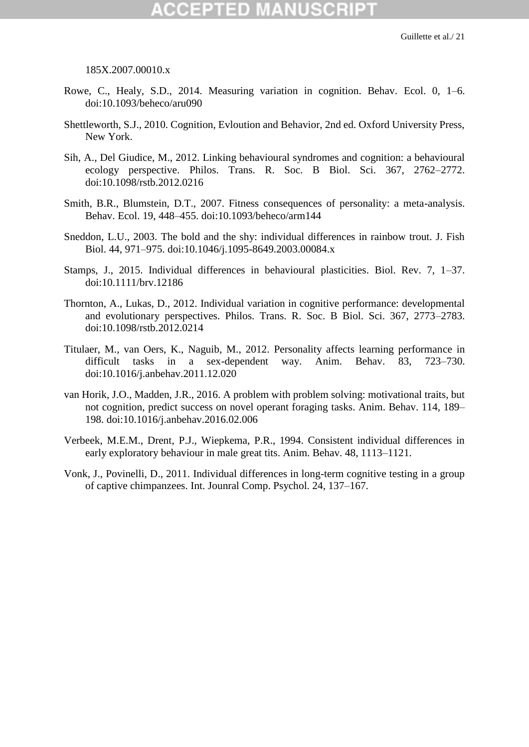### 185X.2007.00010.x

- Rowe, C., Healy, S.D., 2014. Measuring variation in cognition. Behav. Ecol. 0, 1–6. doi:10.1093/beheco/aru090
- Shettleworth, S.J., 2010. Cognition, Evloution and Behavior, 2nd ed. Oxford University Press, New York.
- Sih, A., Del Giudice, M., 2012. Linking behavioural syndromes and cognition: a behavioural ecology perspective. Philos. Trans. R. Soc. B Biol. Sci. 367, 2762–2772. doi:10.1098/rstb.2012.0216
- Smith, B.R., Blumstein, D.T., 2007. Fitness consequences of personality: a meta-analysis. Behav. Ecol. 19, 448–455. doi:10.1093/beheco/arm144
- Sneddon, L.U., 2003. The bold and the shy: individual differences in rainbow trout. J. Fish Biol. 44, 971–975. doi:10.1046/j.1095-8649.2003.00084.x
- Stamps, J., 2015. Individual differences in behavioural plasticities. Biol. Rev. 7, 1–37. doi:10.1111/brv.12186
- Thornton, A., Lukas, D., 2012. Individual variation in cognitive performance: developmental and evolutionary perspectives. Philos. Trans. R. Soc. B Biol. Sci. 367, 2773–2783. doi:10.1098/rstb.2012.0214
- Titulaer, M., van Oers, K., Naguib, M., 2012. Personality affects learning performance in difficult tasks in a sex-dependent way. Anim. Behav. 83, 723–730. doi:10.1016/j.anbehav.2011.12.020
- van Horik, J.O., Madden, J.R., 2016. A problem with problem solving: motivational traits, but not cognition, predict success on novel operant foraging tasks. Anim. Behav. 114, 189– 198. doi:10.1016/j.anbehav.2016.02.006
- Verbeek, M.E.M., Drent, P.J., Wiepkema, P.R., 1994. Consistent individual differences in early exploratory behaviour in male great tits. Anim. Behav. 48, 1113–1121.
- Vonk, J., Povinelli, D., 2011. Individual differences in long-term cognitive testing in a group of captive chimpanzees. Int. Jounral Comp. Psychol. 24, 137–167.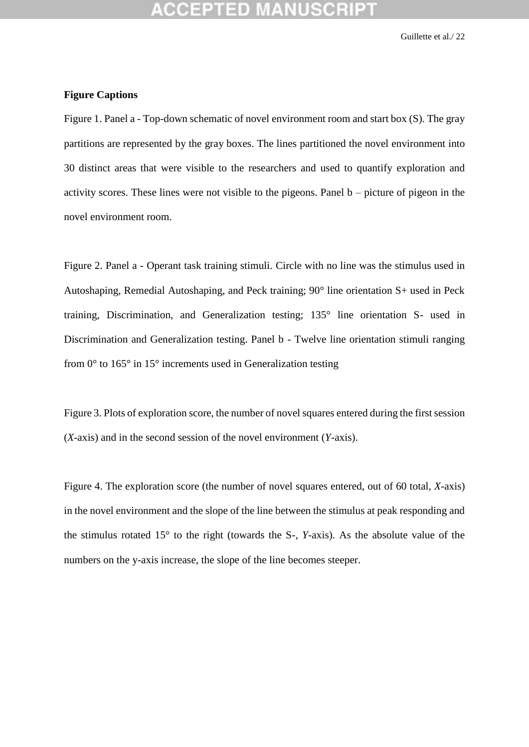### **Figure Captions**

Figure 1. Panel a - Top-down schematic of novel environment room and start box (S). The gray partitions are represented by the gray boxes. The lines partitioned the novel environment into 30 distinct areas that were visible to the researchers and used to quantify exploration and activity scores. These lines were not visible to the pigeons. Panel b – picture of pigeon in the novel environment room.

Figure 2. Panel a - Operant task training stimuli. Circle with no line was the stimulus used in Autoshaping, Remedial Autoshaping, and Peck training; 90° line orientation S+ used in Peck training, Discrimination, and Generalization testing; 135° line orientation S- used in Discrimination and Generalization testing. Panel b - Twelve line orientation stimuli ranging from  $0^{\circ}$  to 165 $^{\circ}$  in 15 $^{\circ}$  increments used in Generalization testing

Figure 3. Plots of exploration score, the number of novel squares entered during the first session (*X*-axis) and in the second session of the novel environment (*Y*-axis).

Figure 4. The exploration score (the number of novel squares entered, out of 60 total, *X*-axis) in the novel environment and the slope of the line between the stimulus at peak responding and the stimulus rotated 15° to the right (towards the S-, *Y*-axis). As the absolute value of the numbers on the y-axis increase, the slope of the line becomes steeper.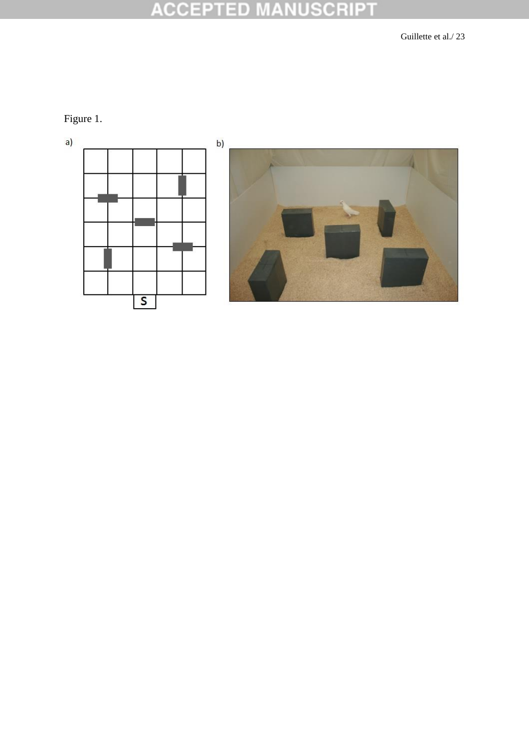Figure 1.

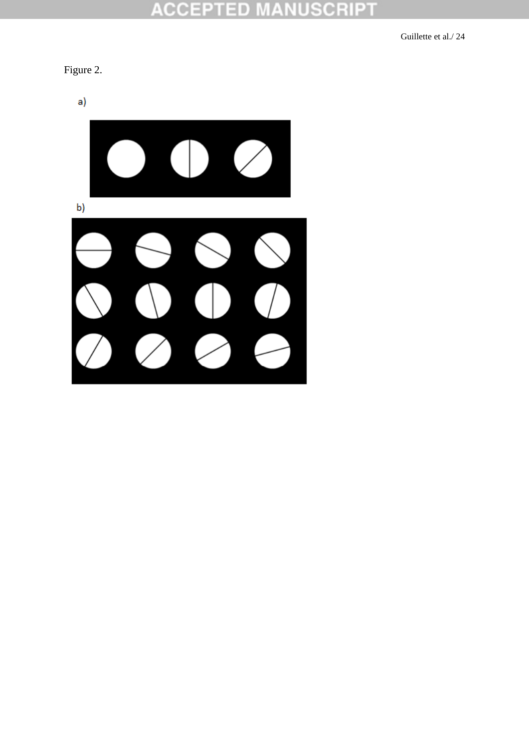### **NUSCRIPT ACCEPT** ED M A



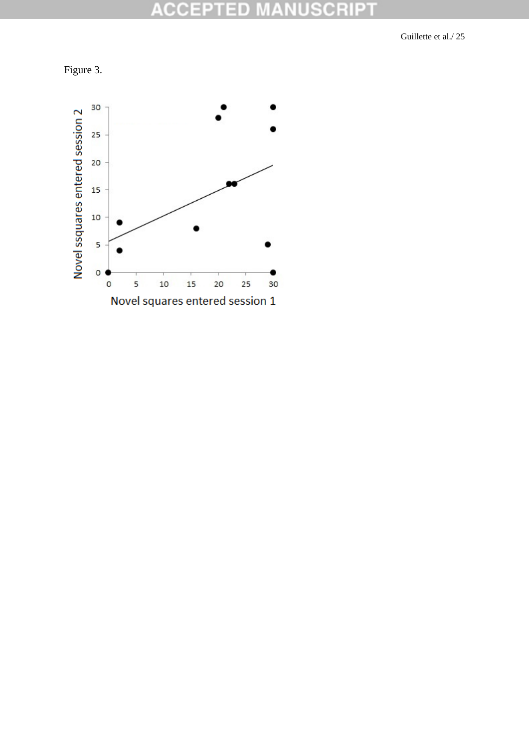

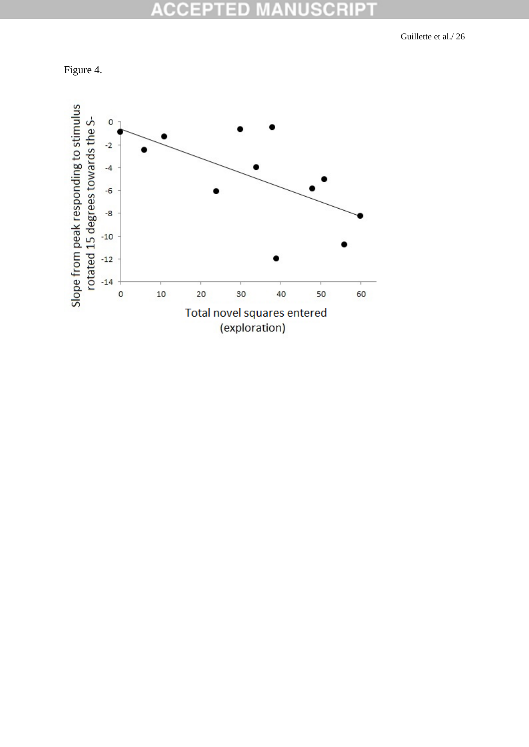

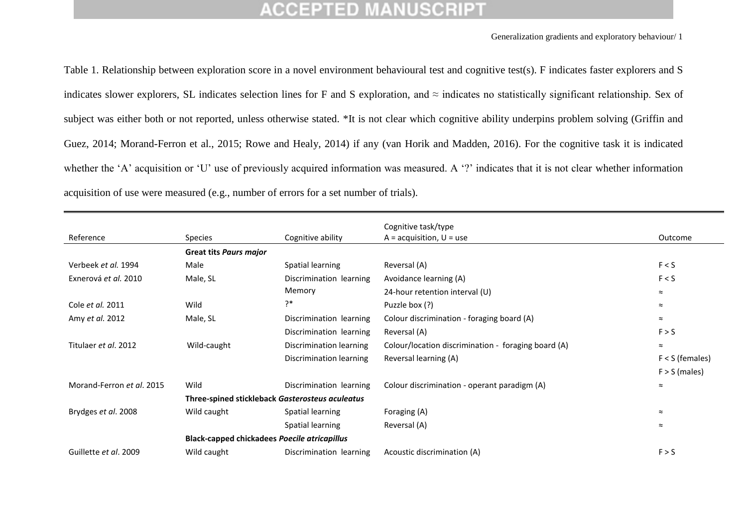Generalization gradients and exploratory behaviour/ 1

Table 1. Relationship between exploration score in a novel environment behavioural test and cognitive test(s). F indicates faster explorers and S indicates slower explorers, SL indicates selection lines for F and S exploration, and  $\approx$  indicates no statistically significant relationship. Sex of subject was either both or not reported, unless otherwise stated. \*It is not clear which cognitive ability underpins problem solving (Griffin and Guez, 2014; Morand-Ferron et al., 2015; Rowe and Healy, 2014) if any (van Horik and Madden, 2016). For the cognitive task it is indicated whether the 'A' acquisition or 'U' use of previously acquired information was measured. A '?' indicates that it is not clear whether information acquisition of use were measured (e.g., number of errors for a set number of trials).

|                           |                                                     |                         | Cognitive task/type                                 |                   |  |
|---------------------------|-----------------------------------------------------|-------------------------|-----------------------------------------------------|-------------------|--|
| Reference                 | Species                                             | Cognitive ability       | $A = acquisition, U = use$                          | Outcome           |  |
|                           | <b>Great tits Paurs major</b>                       |                         |                                                     |                   |  |
| Verbeek et al. 1994       | Male                                                | Spatial learning        | Reversal (A)                                        | F < S             |  |
| Exnerová et al. 2010      | Male, SL                                            | Discrimination learning | Avoidance learning (A)                              | F < S             |  |
|                           |                                                     | Memory                  | 24-hour retention interval (U)                      | $\approx$         |  |
| Cole et al. 2011          | Wild                                                | ?*                      | Puzzle box (?)                                      | $\approx$         |  |
| Amy et al. 2012           | Male, SL                                            | Discrimination learning | Colour discrimination - foraging board (A)          | $\approx$         |  |
|                           |                                                     | Discrimination learning | Reversal (A)                                        | F > S             |  |
| Titulaer et al. 2012      | Wild-caught                                         | Discrimination learning | Colour/location discrimination - foraging board (A) | $\approx$         |  |
|                           |                                                     | Discrimination learning | Reversal learning (A)                               | $F < S$ (females) |  |
|                           |                                                     |                         |                                                     | $F > S$ (males)   |  |
| Morand-Ferron et al. 2015 | Wild                                                | Discrimination learning | Colour discrimination - operant paradigm (A)        | $\approx$         |  |
|                           | Three-spined stickleback Gasterosteus aculeatus     |                         |                                                     |                   |  |
| Brydges et al. 2008       | Wild caught                                         | Spatial learning        | Foraging (A)                                        | $\approx$         |  |
|                           |                                                     | Spatial learning        | Reversal (A)                                        | $\approx$         |  |
|                           | <b>Black-capped chickadees Poecile atricapillus</b> |                         |                                                     |                   |  |
| Guillette et al. 2009     | Wild caught                                         | Discrimination learning | Acoustic discrimination (A)                         | F > S             |  |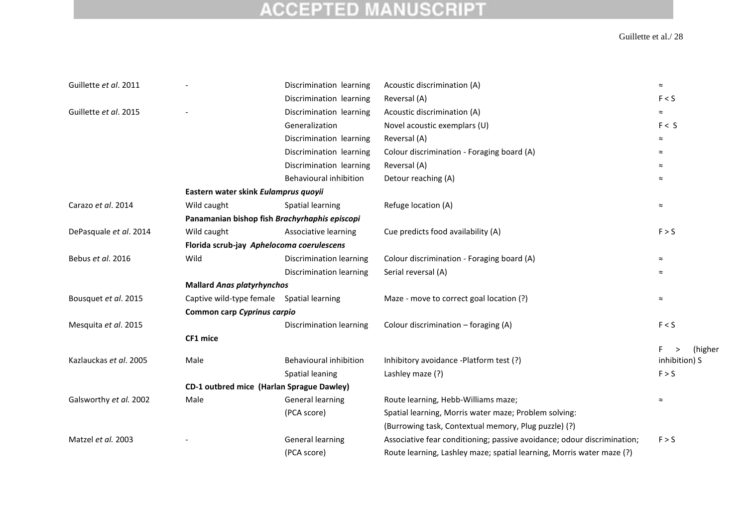| Guillette et al. 2011  |                                               | Discrimination learning | Acoustic discrimination (A)                                             | $\approx$      |  |  |
|------------------------|-----------------------------------------------|-------------------------|-------------------------------------------------------------------------|----------------|--|--|
|                        |                                               | Discrimination learning | Reversal (A)                                                            | F < S          |  |  |
| Guillette et al. 2015  |                                               | Discrimination learning | Acoustic discrimination (A)                                             | $\approx$      |  |  |
|                        |                                               | Generalization          | Novel acoustic exemplars (U)                                            | F < S          |  |  |
|                        |                                               | Discrimination learning | Reversal (A)                                                            | $\approx$      |  |  |
|                        |                                               | Discrimination learning | Colour discrimination - Foraging board (A)                              | $\approx$      |  |  |
|                        |                                               | Discrimination learning | Reversal (A)                                                            | $\approx$      |  |  |
|                        |                                               | Behavioural inhibition  | Detour reaching (A)                                                     | $\approx$      |  |  |
|                        | Eastern water skink Eulamprus quoyii          |                         |                                                                         |                |  |  |
| Carazo et al. 2014     | Wild caught                                   | Spatial learning        | Refuge location (A)                                                     | $\thickapprox$ |  |  |
|                        | Panamanian bishop fish Brachyrhaphis episcopi |                         |                                                                         |                |  |  |
| DePasquale et al. 2014 | Wild caught                                   | Associative learning    | Cue predicts food availability (A)                                      | F > S          |  |  |
|                        | Florida scrub-jay Aphelocoma coerulescens     |                         |                                                                         |                |  |  |
| Bebus et al. 2016      | Wild                                          | Discrimination learning | Colour discrimination - Foraging board (A)                              | $\thickapprox$ |  |  |
|                        |                                               | Discrimination learning | Serial reversal (A)                                                     | $\approx$      |  |  |
|                        | <b>Mallard Anas platyrhynchos</b>             |                         |                                                                         |                |  |  |
| Bousquet et al. 2015   | Captive wild-type female Spatial learning     |                         | Maze - move to correct goal location (?)                                | $\approx$      |  |  |
|                        | Common carp Cyprinus carpio                   |                         |                                                                         |                |  |  |
| Mesquita et al. 2015   |                                               | Discrimination learning | Colour discrimination - foraging (A)                                    | F < S          |  |  |
|                        | CF1 mice                                      |                         |                                                                         |                |  |  |
|                        |                                               |                         |                                                                         | F.<br>(higher  |  |  |
| Kazlauckas et al. 2005 | Male                                          | Behavioural inhibition  | Inhibitory avoidance -Platform test (?)                                 | inhibition) S  |  |  |
|                        |                                               | Spatial leaning         | Lashley maze (?)                                                        | F > S          |  |  |
|                        | CD-1 outbred mice (Harlan Sprague Dawley)     |                         |                                                                         |                |  |  |
| Galsworthy et al. 2002 | Male                                          | <b>General learning</b> | Route learning, Hebb-Williams maze;                                     | $\approx$      |  |  |
|                        |                                               | (PCA score)             | Spatial learning, Morris water maze; Problem solving:                   |                |  |  |
|                        |                                               |                         | (Burrowing task, Contextual memory, Plug puzzle) (?)                    |                |  |  |
| Matzel et al. 2003     |                                               | <b>General learning</b> | Associative fear conditioning; passive avoidance; odour discrimination; | F > S          |  |  |
|                        |                                               | (PCA score)             | Route learning, Lashley maze; spatial learning, Morris water maze (?)   |                |  |  |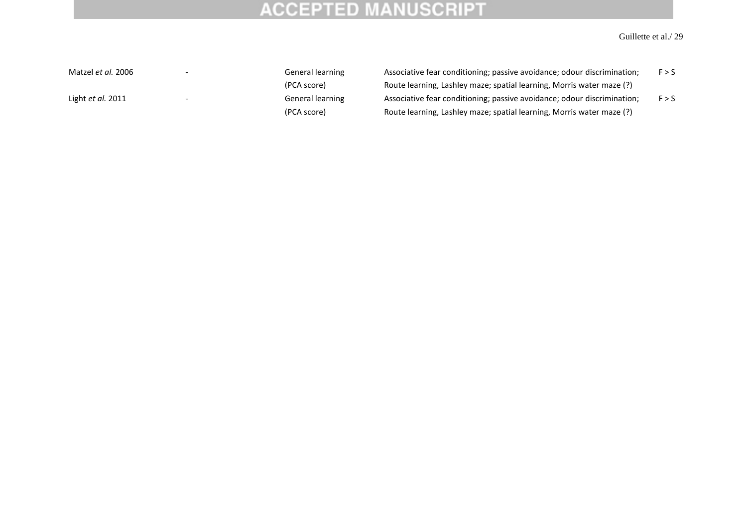### Guillette et al./ 29

Matzel *et al.* 2006 - Channel Cheneral learning Associative fear conditioning; passive avoidance; odour discrimination; F > S (PCA score) Route learning, Lashley maze; spatial learning, Morris water maze (?) Light *et al.* 2011 - F S General learning Associative fear conditioning; passive avoidance; odour discrimination; F > S (PCA score) Route learning, Lashley maze; spatial learning, Morris water maze (?)